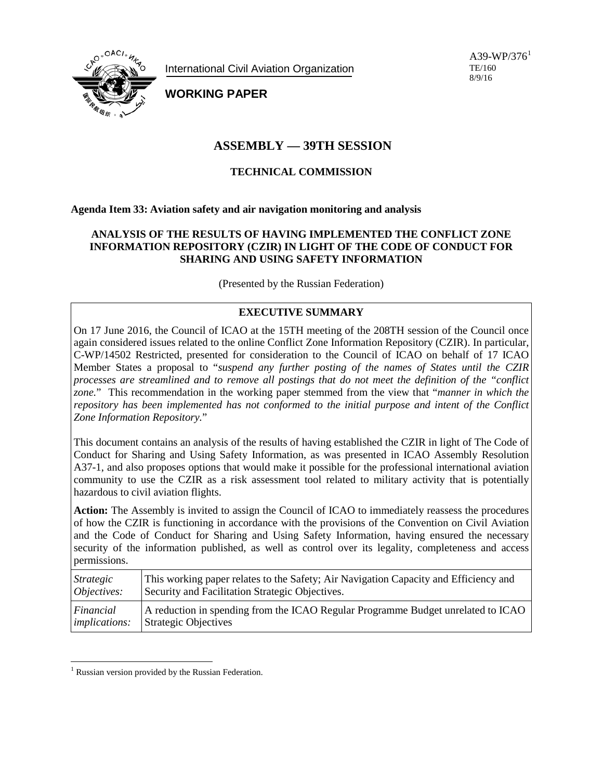

International Civil Aviation Organization

A39-WP/376<sup>[1](#page-0-0)</sup> TE/160 8/9/16

**WORKING PAPER**

# **ASSEMBLY — 39TH SESSION**

# **TECHNICAL COMMISSION**

**Agenda Item 33: Aviation safety and air navigation monitoring and analysis**

# **ANALYSIS OF THE RESULTS OF HAVING IMPLEMENTED THE CONFLICT ZONE INFORMATION REPOSITORY (CZIR) IN LIGHT OF THE CODE OF CONDUCT FOR SHARING AND USING SAFETY INFORMATION**

(Presented by the Russian Federation)

# **EXECUTIVE SUMMARY**

On 17 June 2016, the Council of ICAO at the 15TH meeting of the 208TH session of the Council once again considered issues related to the online Conflict Zone Information Repository (CZIR). In particular, C-WP/14502 Restricted, presented for consideration to the Council of ICAO on behalf of 17 ICAO Member States a proposal to "*suspend any further posting of the names of States until the CZIR processes are streamlined and to remove all postings that do not meet the definition of the "conflict zone.*" This recommendation in the working paper stemmed from the view that "*manner in which the repository has been implemented has not conformed to the initial purpose and intent of the Conflict Zone Information Repository.*"

This document contains an analysis of the results of having established the CZIR in light of The Code of Conduct for Sharing and Using Safety Information, as was presented in ICAO Assembly Resolution A37-1, and also proposes options that would make it possible for the professional international aviation community to use the CZIR as a risk assessment tool related to military activity that is potentially hazardous to civil aviation flights.

**Action:** The Assembly is invited to assign the Council of ICAO to immediately reassess the procedures of how the CZIR is functioning in accordance with the provisions of the Convention on Civil Aviation and the Code of Conduct for Sharing and Using Safety Information, having ensured the necessary security of the information published, as well as control over its legality, completeness and access permissions.

| Strategic            | This working paper relates to the Safety; Air Navigation Capacity and Efficiency and |
|----------------------|--------------------------------------------------------------------------------------|
| Objectives:          | Security and Facilitation Strategic Objectives.                                      |
| Financial            | A reduction in spending from the ICAO Regular Programme Budget unrelated to ICAO     |
| <i>implications:</i> | <b>Strategic Objectives</b>                                                          |

<span id="page-0-0"></span><sup>&</sup>lt;sup>1</sup> Russian version provided by the Russian Federation.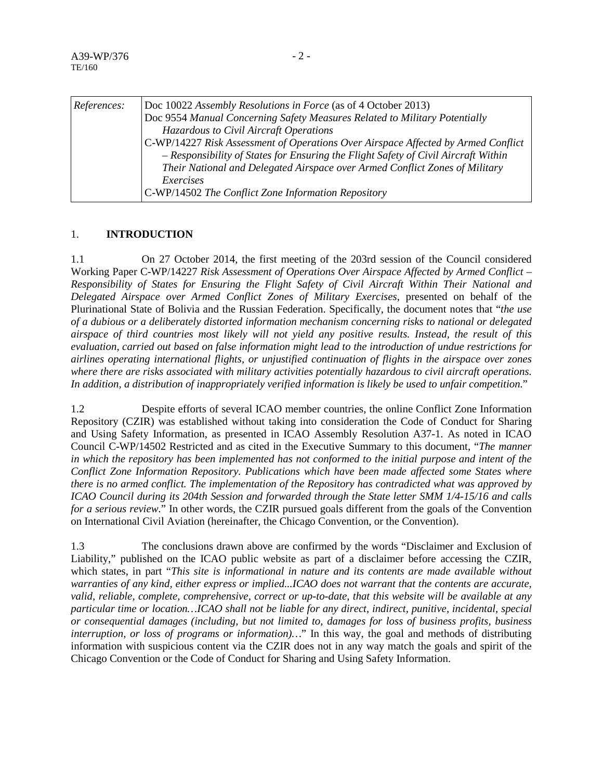| References: | Doc 10022 Assembly Resolutions in Force (as of 4 October 2013)<br>Doc 9554 Manual Concerning Safety Measures Related to Military Potentially<br>Hazardous to Civil Aircraft Operations<br>C-WP/14227 Risk Assessment of Operations Over Airspace Affected by Armed Conflict<br>- Responsibility of States for Ensuring the Flight Safety of Civil Aircraft Within<br>Their National and Delegated Airspace over Armed Conflict Zones of Military |
|-------------|--------------------------------------------------------------------------------------------------------------------------------------------------------------------------------------------------------------------------------------------------------------------------------------------------------------------------------------------------------------------------------------------------------------------------------------------------|
|             | Exercises<br>C-WP/14502 The Conflict Zone Information Repository                                                                                                                                                                                                                                                                                                                                                                                 |

#### 1. **INTRODUCTION**

1.1 On 27 October 2014, the first meeting of the 203rd session of the Council considered Working Paper C-WP/14227 *Risk Assessment of Operations Over Airspace Affected by Armed Conflict – Responsibility of States for Ensuring the Flight Safety of Civil Aircraft Within Their National and Delegated Airspace over Armed Conflict Zones of Military Exercises*, presented on behalf of the Plurinational State of Bolivia and the Russian Federation. Specifically, the document notes that "*the use of a dubious or a deliberately distorted information mechanism concerning risks to national or delegated airspace of third countries most likely will not yield any positive results. Instead, the result of this evaluation, carried out based on false information might lead to the introduction of undue restrictions for airlines operating international flights, or unjustified continuation of flights in the airspace over zones where there are risks associated with military activities potentially hazardous to civil aircraft operations. In addition, a distribution of inappropriately verified information is likely be used to unfair competition.*"

1.2 Despite efforts of several ICAO member countries, the online Conflict Zone Information Repository (CZIR) was established without taking into consideration the Code of Conduct for Sharing and Using Safety Information, as presented in ICAO Assembly Resolution A37-1. As noted in ICAO Council C-WP/14502 Restricted and as cited in the Executive Summary to this document, "*The manner in which the repository has been implemented has not conformed to the initial purpose and intent of the Conflict Zone Information Repository. Publications which have been made affected some States where there is no armed conflict. The implementation of the Repository has contradicted what was approved by ICAO Council during its 204th Session and forwarded through the State letter SMM 1/4-15/16 and calls for a serious review.*" In other words, the CZIR pursued goals different from the goals of the Convention on International Civil Aviation (hereinafter, the Chicago Convention, or the Convention).

1.3 The conclusions drawn above are confirmed by the words "Disclaimer and Exclusion of Liability," published on the ICAO public website as part of a disclaimer before accessing the CZIR, which states, in part "*This site is informational in nature and its contents are made available without warranties of any kind, either express or implied...ICAO does not warrant that the contents are accurate, valid, reliable, complete, comprehensive, correct or up-to-date, that this website will be available at any particular time or location…ICAO shall not be liable for any direct, indirect, punitive, incidental, special or consequential damages (including, but not limited to, damages for loss of business profits, business interruption, or loss of programs or information)…*" In this way, the goal and methods of distributing information with suspicious content via the CZIR does not in any way match the goals and spirit of the Chicago Convention or the Code of Conduct for Sharing and Using Safety Information.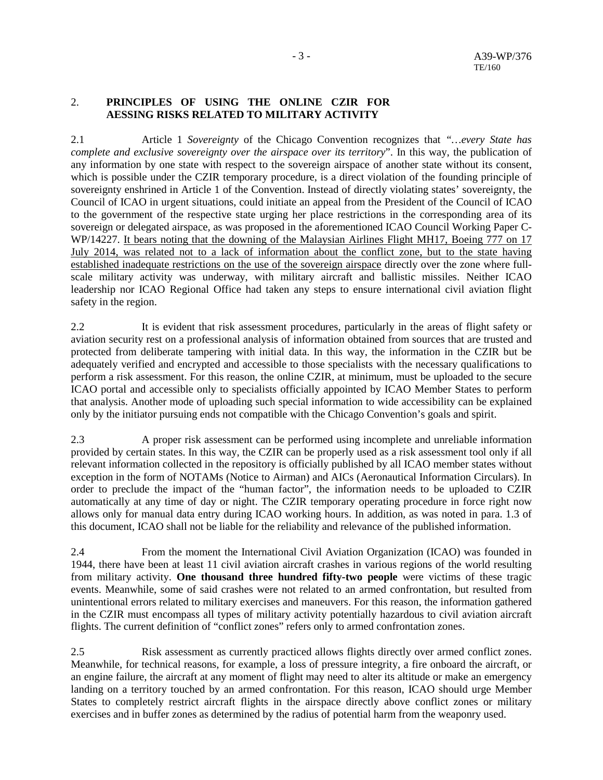### 2. **PRINCIPLES OF USING THE ONLINE CZIR FOR AESSING RISKS RELATED TO MILITARY ACTIVITY**

2.1 Article 1 *Sovereignty* of the Chicago Convention recognizes that *"…every State has complete and exclusive sovereignty over the airspace over its territory*". In this way, the publication of any information by one state with respect to the sovereign airspace of another state without its consent, which is possible under the CZIR temporary procedure, is a direct violation of the founding principle of sovereignty enshrined in Article 1 of the Convention. Instead of directly violating states' sovereignty, the Council of ICAO in urgent situations, could initiate an appeal from the President of the Council of ICAO to the government of the respective state urging her place restrictions in the corresponding area of its sovereign or delegated airspace, as was proposed in the aforementioned ICAO Council Working Paper C-WP/14227. It bears noting that the downing of the Malaysian Airlines Flight MH17, Boeing 777 on 17 July 2014, was related not to a lack of information about the conflict zone, but to the state having established inadequate restrictions on the use of the sovereign airspace directly over the zone where fullscale military activity was underway, with military aircraft and ballistic missiles. Neither ICAO leadership nor ICAO Regional Office had taken any steps to ensure international civil aviation flight safety in the region.

2.2 It is evident that risk assessment procedures, particularly in the areas of flight safety or aviation security rest on a professional analysis of information obtained from sources that are trusted and protected from deliberate tampering with initial data. In this way, the information in the CZIR but be adequately verified and encrypted and accessible to those specialists with the necessary qualifications to perform a risk assessment. For this reason, the online CZIR, at minimum, must be uploaded to the secure ICAO portal and accessible only to specialists officially appointed by ICAO Member States to perform that analysis. Another mode of uploading such special information to wide accessibility can be explained only by the initiator pursuing ends not compatible with the Chicago Convention's goals and spirit.

2.3 A proper risk assessment can be performed using incomplete and unreliable information provided by certain states. In this way, the CZIR can be properly used as a risk assessment tool only if all relevant information collected in the repository is officially published by all ICAO member states without exception in the form of NOTAMs (Notice to Airman) and AICs (Aeronautical Information Circulars). In order to preclude the impact of the "human factor", the information needs to be uploaded to CZIR automatically at any time of day or night. The CZIR temporary operating procedure in force right now allows only for manual data entry during ICAO working hours. In addition, as was noted in para. 1.3 of this document, ICAO shall not be liable for the reliability and relevance of the published information.

2.4 From the moment the International Civil Aviation Organization (ICAO) was founded in 1944, there have been at least 11 civil aviation aircraft crashes in various regions of the world resulting from military activity. **One thousand three hundred fifty-two people** were victims of these tragic events. Meanwhile, some of said crashes were not related to an armed confrontation, but resulted from unintentional errors related to military exercises and maneuvers. For this reason, the information gathered in the CZIR must encompass all types of military activity potentially hazardous to civil aviation aircraft flights. The current definition of "conflict zones" refers only to armed confrontation zones.

2.5 Risk assessment as currently practiced allows flights directly over armed conflict zones. Meanwhile, for technical reasons, for example, a loss of pressure integrity, a fire onboard the aircraft, or an engine failure, the aircraft at any moment of flight may need to alter its altitude or make an emergency landing on a territory touched by an armed confrontation. For this reason, ICAO should urge Member States to completely restrict aircraft flights in the airspace directly above conflict zones or military exercises and in buffer zones as determined by the radius of potential harm from the weaponry used.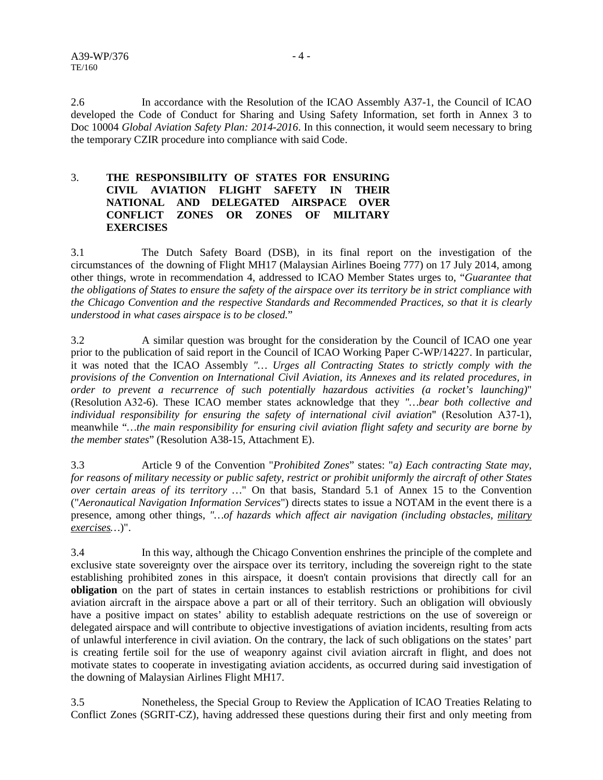2.6 In accordance with the Resolution of the ICAO Assembly A37-1, the Council of ICAO developed the Code of Conduct for Sharing and Using Safety Information, set forth in Annex 3 to Doc 10004 *Global Aviation Safety Plan: 2014-2016*. In this connection, it would seem necessary to bring the temporary CZIR procedure into compliance with said Code.

### 3. **THE RESPONSIBILITY OF STATES FOR ENSURING CIVIL AVIATION FLIGHT SAFETY IN THEIR NATIONAL AND DELEGATED AIRSPACE OVER CONFLICT ZONES OR ZONES OF MILITARY EXERCISES**

3.1 The Dutch Safety Board (DSB), in its final report on the investigation of the circumstances of the downing of Flight MH17 (Malaysian Airlines Boeing 777) on 17 July 2014, among other things, wrote in recommendation 4, addressed to ICAO Member States urges to, "*Guarantee that the obligations of States to ensure the safety of the airspace over its territory be in strict compliance with the Chicago Convention and the respective Standards and Recommended Practices, so that it is clearly understood in what cases airspace is to be closed.*"

3.2 A similar question was brought for the consideration by the Council of ICAO one year prior to the publication of said report in the Council of ICAO Working Paper C-WP/14227. In particular, it was noted that the ICAO Assembly *"… Urges all Contracting States to strictly comply with the provisions of the Convention on International Civil Aviation, its Annexes and its related procedures, in order to prevent a recurrence of such potentially hazardous activities (a rocket's launching)*" (Resolution А32-6). These ICAO member states acknowledge that they *"…bear both collective and individual responsibility for ensuring the safety of international civil aviation*" (Resolution А37-1), meanwhile "*…the main responsibility for ensuring civil aviation flight safety and security are borne by the member states*" (Resolution A38-15, Attachment E).

3.3 Article 9 of the Convention "*Prohibited Zones*" states: "*a) Each contracting State may, for reasons of military necessity or public safety, restrict or prohibit uniformly the aircraft of other States over certain areas of its territory …*" On that basis, Standard 5.1 of Annex 15 to the Convention ("*Aeronautical Navigation Information Services*") directs states to issue a NOTAM in the event there is a presence, among other things, "... of hazards which affect air navigation (including obstacles, military *exercises…*)".

3.4 In this way, although the Chicago Convention enshrines the principle of the complete and exclusive state sovereignty over the airspace over its territory, including the sovereign right to the state establishing prohibited zones in this airspace, it doesn't contain provisions that directly call for an **obligation** on the part of states in certain instances to establish restrictions or prohibitions for civil aviation aircraft in the airspace above a part or all of their territory. Such an obligation will obviously have a positive impact on states' ability to establish adequate restrictions on the use of sovereign or delegated airspace and will contribute to objective investigations of aviation incidents, resulting from acts of unlawful interference in civil aviation. On the contrary, the lack of such obligations on the states' part is creating fertile soil for the use of weaponry against civil aviation aircraft in flight, and does not motivate states to cooperate in investigating aviation accidents, as occurred during said investigation of the downing of Malaysian Airlines Flight MH17.

3.5 Nonetheless, the Special Group to Review the Application of ICAO Treaties Relating to Conflict Zones (SGRIT-CZ), having addressed these questions during their first and only meeting from